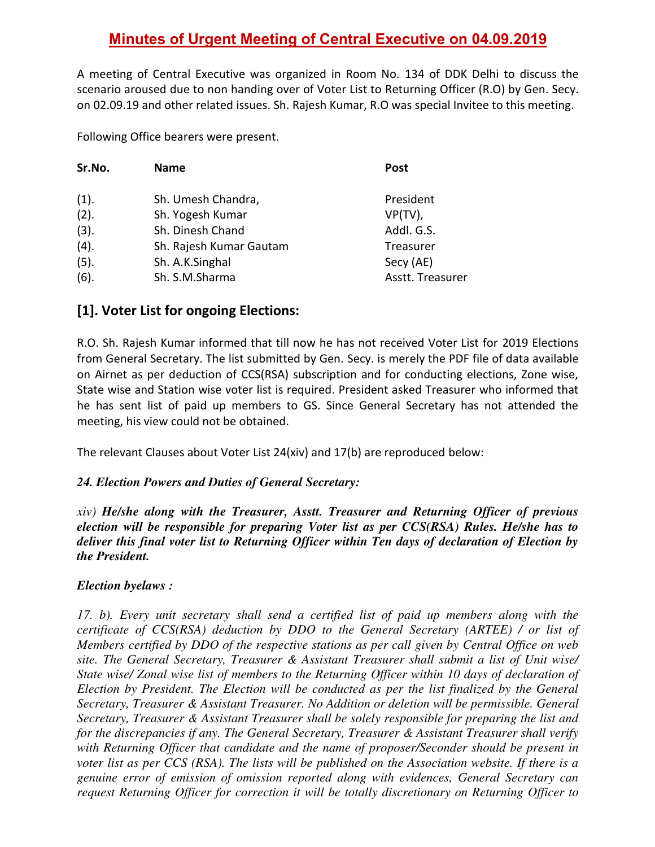# **Minutes of Urgent Meeting of Central Executive on 04.09.2019**

A meeting of Central Executive was organized in Room No. 134 of DDK Delhi to discuss the scenario aroused due to non handing over of Voter List to Returning Officer (R.O) by Gen. Secy. on 02.09.19 and other related issues. Sh. Rajesh Kumar, R.O was special Invitee to this meeting.

Following Office bearers were present.

| Sr.No. | <b>Name</b>             | <b>Post</b>      |
|--------|-------------------------|------------------|
| (1).   | Sh. Umesh Chandra,      | President        |
| (2).   | Sh. Yogesh Kumar        | $VP(TV)$ ,       |
| (3).   | Sh. Dinesh Chand        | Addl. G.S.       |
| (4).   | Sh. Rajesh Kumar Gautam | Treasurer        |
| (5).   | Sh. A.K.Singhal         | Secy (AE)        |
| (6).   | Sh. S.M.Sharma          | Asstt. Treasurer |

### **[1]. Voter List for ongoing Elections:**

R.O. Sh. Rajesh Kumar informed that till now he has not received Voter List for 2019 Elections from General Secretary. The list submitted by Gen. Secy. is merely the PDF file of data available on Airnet as per deduction of CCS(RSA) subscription and for conducting elections, Zone wise, State wise and Station wise voter list is required. President asked Treasurer who informed that he has sent list of paid up members to GS. Since General Secretary has not attended the meeting, his view could not be obtained.

The relevant Clauses about Voter List 24(xiv) and 17(b) are reproduced below:

#### *24. Election Powers and Duties of General Secretary:*

*xiv) He/she along with the Treasurer, Asstt. Treasurer and Returning Officer of previous election will be responsible for preparing Voter list as per CCS(RSA) Rules. He/she has to deliver this final voter list to Returning Officer within Ten days of declaration of Election by the President.* 

#### *Election byelaws :*

*17. b). Every unit secretary shall send a certified list of paid up members along with the certificate of CCS(RSA) deduction by DDO to the General Secretary (ARTEE) / or list of Members certified by DDO of the respective stations as per call given by Central Office on web site. The General Secretary, Treasurer & Assistant Treasurer shall submit a list of Unit wise/ State wise/ Zonal wise list of members to the Returning Officer within 10 days of declaration of Election by President. The Election will be conducted as per the list finalized by the General Secretary, Treasurer & Assistant Treasurer. No Addition or deletion will be permissible. General Secretary, Treasurer & Assistant Treasurer shall be solely responsible for preparing the list and for the discrepancies if any. The General Secretary, Treasurer & Assistant Treasurer shall verify with Returning Officer that candidate and the name of proposer/Seconder should be present in voter list as per CCS (RSA). The lists will be published on the Association website. If there is a genuine error of emission of omission reported along with evidences, General Secretary can request Returning Officer for correction it will be totally discretionary on Returning Officer to*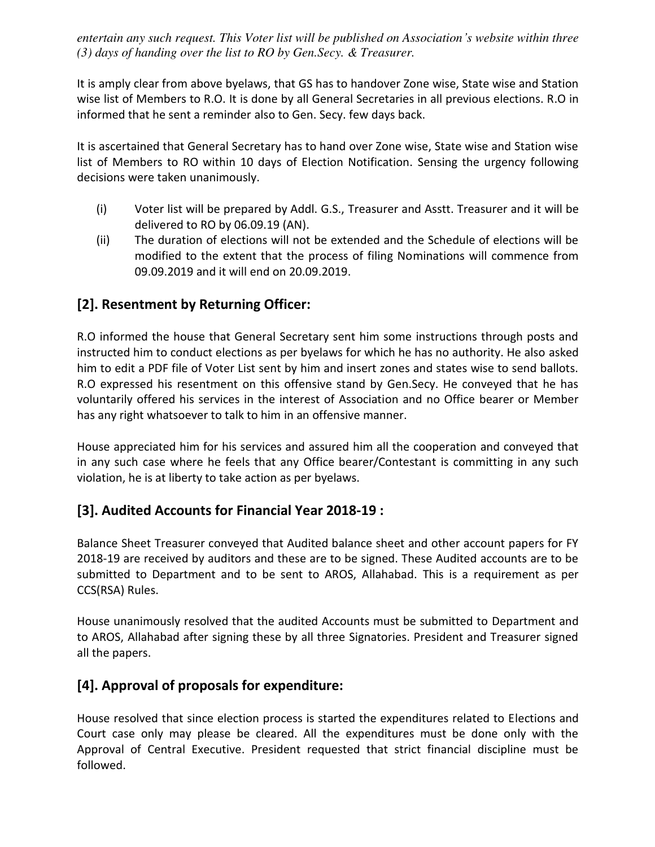*entertain any such request. This Voter list will be published on Association's website within three (3) days of handing over the list to RO by Gen.Secy. & Treasurer.*

It is amply clear from above byelaws, that GS has to handover Zone wise, State wise and Station wise list of Members to R.O. It is done by all General Secretaries in all previous elections. R.O in informed that he sent a reminder also to Gen. Secy. few days back.

It is ascertained that General Secretary has to hand over Zone wise, State wise and Station wise list of Members to RO within 10 days of Election Notification. Sensing the urgency following decisions were taken unanimously.

- (i) Voter list will be prepared by Addl. G.S., Treasurer and Asstt. Treasurer and it will be delivered to RO by 06.09.19 (AN).
- (ii) The duration of elections will not be extended and the Schedule of elections will be modified to the extent that the process of filing Nominations will commence from 09.09.2019 and it will end on 20.09.2019.

# **[2]. Resentment by Returning Officer:**

R.O informed the house that General Secretary sent him some instructions through posts and instructed him to conduct elections as per byelaws for which he has no authority. He also asked him to edit a PDF file of Voter List sent by him and insert zones and states wise to send ballots. R.O expressed his resentment on this offensive stand by Gen.Secy. He conveyed that he has voluntarily offered his services in the interest of Association and no Office bearer or Member has any right whatsoever to talk to him in an offensive manner.

House appreciated him for his services and assured him all the cooperation and conveyed that in any such case where he feels that any Office bearer/Contestant is committing in any such violation, he is at liberty to take action as per byelaws.

### **[3]. Audited Accounts for Financial Year 2018-19 :**

Balance Sheet Treasurer conveyed that Audited balance sheet and other account papers for FY 2018-19 are received by auditors and these are to be signed. These Audited accounts are to be submitted to Department and to be sent to AROS, Allahabad. This is a requirement as per CCS(RSA) Rules.

House unanimously resolved that the audited Accounts must be submitted to Department and to AROS, Allahabad after signing these by all three Signatories. President and Treasurer signed all the papers.

### **[4]. Approval of proposals for expenditure:**

House resolved that since election process is started the expenditures related to Elections and Court case only may please be cleared. All the expenditures must be done only with the Approval of Central Executive. President requested that strict financial discipline must be followed.